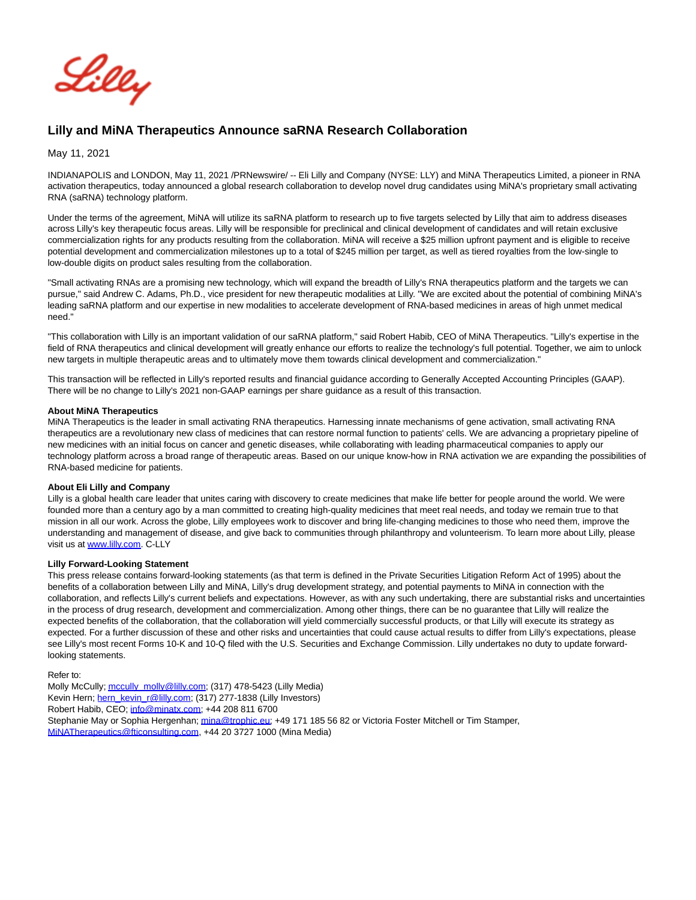

## **Lilly and MiNA Therapeutics Announce saRNA Research Collaboration**

May 11, 2021

INDIANAPOLIS and LONDON, May 11, 2021 /PRNewswire/ -- Eli Lilly and Company (NYSE: LLY) and MiNA Therapeutics Limited, a pioneer in RNA activation therapeutics, today announced a global research collaboration to develop novel drug candidates using MiNA's proprietary small activating RNA (saRNA) technology platform.

Under the terms of the agreement, MiNA will utilize its saRNA platform to research up to five targets selected by Lilly that aim to address diseases across Lilly's key therapeutic focus areas. Lilly will be responsible for preclinical and clinical development of candidates and will retain exclusive commercialization rights for any products resulting from the collaboration. MiNA will receive a \$25 million upfront payment and is eligible to receive potential development and commercialization milestones up to a total of \$245 million per target, as well as tiered royalties from the low-single to low-double digits on product sales resulting from the collaboration.

"Small activating RNAs are a promising new technology, which will expand the breadth of Lilly's RNA therapeutics platform and the targets we can pursue," said Andrew C. Adams, Ph.D., vice president for new therapeutic modalities at Lilly. "We are excited about the potential of combining MiNA's leading saRNA platform and our expertise in new modalities to accelerate development of RNA-based medicines in areas of high unmet medical need."

"This collaboration with Lilly is an important validation of our saRNA platform," said Robert Habib, CEO of MiNA Therapeutics. "Lilly's expertise in the field of RNA therapeutics and clinical development will greatly enhance our efforts to realize the technology's full potential. Together, we aim to unlock new targets in multiple therapeutic areas and to ultimately move them towards clinical development and commercialization."

This transaction will be reflected in Lilly's reported results and financial guidance according to Generally Accepted Accounting Principles (GAAP). There will be no change to Lilly's 2021 non-GAAP earnings per share guidance as a result of this transaction.

### **About MiNA Therapeutics**

MiNA Therapeutics is the leader in small activating RNA therapeutics. Harnessing innate mechanisms of gene activation, small activating RNA therapeutics are a revolutionary new class of medicines that can restore normal function to patients' cells. We are advancing a proprietary pipeline of new medicines with an initial focus on cancer and genetic diseases, while collaborating with leading pharmaceutical companies to apply our technology platform across a broad range of therapeutic areas. Based on our unique know-how in RNA activation we are expanding the possibilities of RNA-based medicine for patients.

#### **About Eli Lilly and Company**

Lilly is a global health care leader that unites caring with discovery to create medicines that make life better for people around the world. We were founded more than a century ago by a man committed to creating high-quality medicines that meet real needs, and today we remain true to that mission in all our work. Across the globe, Lilly employees work to discover and bring life-changing medicines to those who need them, improve the understanding and management of disease, and give back to communities through philanthropy and volunteerism. To learn more about Lilly, please visit us at [www.lilly.com.](https://c212.net/c/link/?t=0&l=en&o=3157810-1&h=2310095048&u=http%3A%2F%2Fwww.lilly.com%2F&a=www.lilly.com) C-LLY

#### **Lilly Forward-Looking Statement**

This press release contains forward-looking statements (as that term is defined in the Private Securities Litigation Reform Act of 1995) about the benefits of a collaboration between Lilly and MiNA, Lilly's drug development strategy, and potential payments to MiNA in connection with the collaboration, and reflects Lilly's current beliefs and expectations. However, as with any such undertaking, there are substantial risks and uncertainties in the process of drug research, development and commercialization. Among other things, there can be no guarantee that Lilly will realize the expected benefits of the collaboration, that the collaboration will yield commercially successful products, or that Lilly will execute its strategy as expected. For a further discussion of these and other risks and uncertainties that could cause actual results to differ from Lilly's expectations, please see Lilly's most recent Forms 10-K and 10-Q filed with the U.S. Securities and Exchange Commission. Lilly undertakes no duty to update forwardlooking statements.

Refer to: Molly McCully[; mccully\\_molly@lilly.com;](mailto:mccully_molly@lilly.com) (317) 478-5423 (Lilly Media) Kevin Hern; [hern\\_kevin\\_r@lilly.com;](mailto:hern_kevin_r@lilly.com) (317) 277-1838 (Lilly Investors) Robert Habib, CEO; [info@minatx.com;](mailto:info@minatx.com) +44 208 811 6700 Stephanie May or Sophia Hergenhan; [mina@trophic.eu;](mailto:mina@trophic.eu) +49 171 185 56 82 or Victoria Foster Mitchell or Tim Stamper, [MiNATherapeutics@fticonsulting.com,](mailto:MiNATherapeutics@fticonsulting.com) +44 20 3727 1000 (Mina Media)